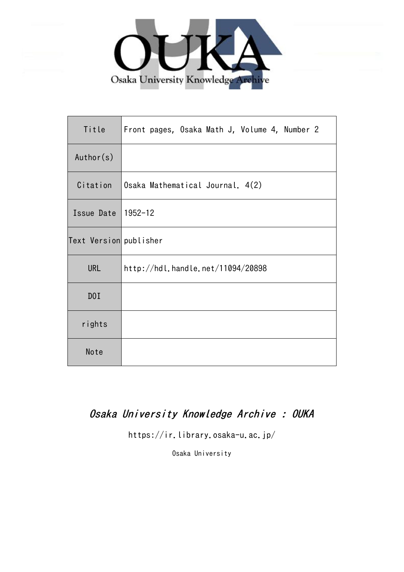

| Title                  | Front pages, Osaka Math J, Volume 4, Number 2 |
|------------------------|-----------------------------------------------|
| Author(s)              |                                               |
| Citation               | Osaka Mathematical Journal. 4(2)              |
| Issue Date             | 1952-12                                       |
| Text Version publisher |                                               |
| <b>URL</b>             | http://hdl.handle.net/11094/20898             |
| DOI                    |                                               |
| rights                 |                                               |
| Note                   |                                               |

#### Osaka University Knowledge Archive : OUKA

https://ir.library.osaka-u.ac.jp/

Osaka University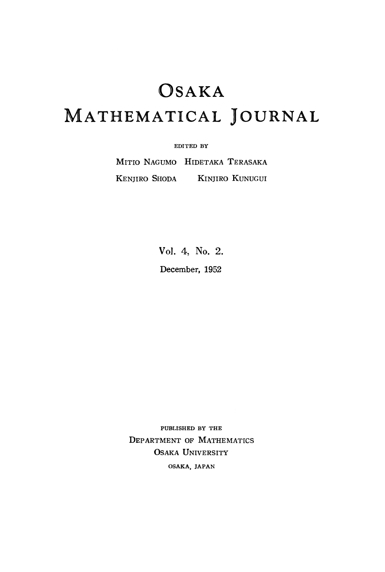# OSAKA MATHEMATICAL JOURNAL

**EDITED BY**

MITIO NAGUMO HIDETAKA TERASAKA KENJIRO SHODA KINJIRO KUNUGUI

> Vol. 4, No. 2. December, 1952

**PUBLISHED BY THE** DEPARTMENT OF MATHEMATICS OSAKA UNIVERSITY **OSAKA, JAPAN**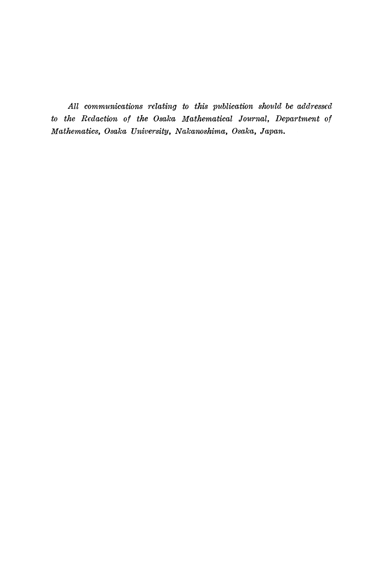*All communications relating to this publication should be addressed to the Redaction of the Osaka Mathematical Journal, Department of Mathematics, Osaka University, Nakanoshima, Osaka, Japan.*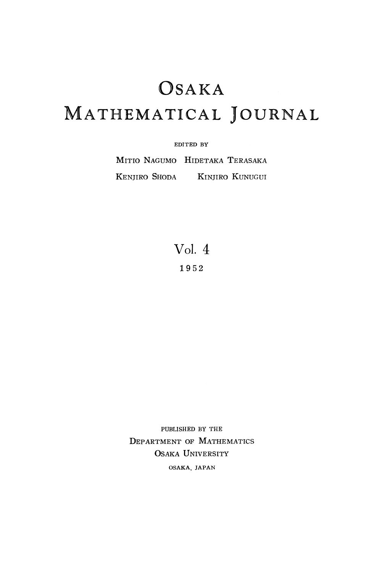# OSAKA MATHEMATICAL JOURNAL

#### **EDITED BY**

MITIO NAGUMO HIDETAKA TERASAKA KENJIRO SHODA KINJIRO KUNUGUI

> Vol. 4 **195 2**

PUBLISHED BY THE DEPARTMENT OF MATHEMATICS OSAKA UNIVERSITY **OSAKA, JAPAN**